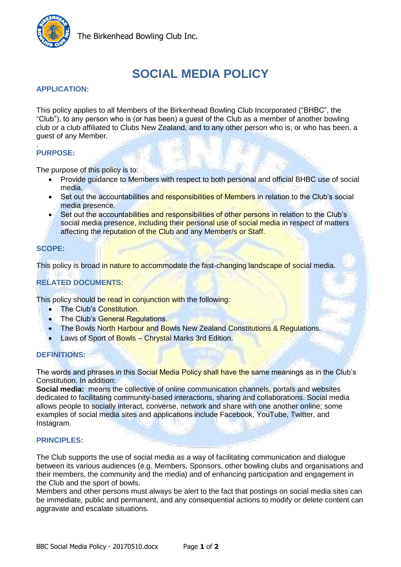

The Birkenhead Bowling Club Inc.

# **SOCIAL MEDIA POLICY**

## **APPLICATION:**

This policy applies to all Members of the Birkenhead Bowling Club Incorporated ("BHBC", the "Club"), to any person who is (or has been) a guest of the Club as a member of another bowling club or a club affiliated to Clubs New Zealand, and to any other person who is, or who has been, a guest of any Member.

#### . **PURPOSE:**

The purpose of this policy is to:

- Provide guidance to Members with respect to both personal and official BHBC use of social media.
- Set out the accountabilities and responsibilities of Members in relation to the Club's social media presence.
- Set out the accountabilities and responsibilities of other persons in relation to the Club's social media presence, including their personal use of social media in respect of matters affecting the reputation of the Club and any Member/s or Staff.

## **SCOPE:**

This policy is broad in nature to accommodate the fast-changing landscape of social media.

## **RELATED DOCUMENTS:**

This policy should be read in conjunction with the following:

- The Club's Constitution.
- The Club's General Regulations.
- . The Bowls North Harbour and Bowls New Zealand Constitutions & Regulations.
- Laws of Sport of Bowls Chrystal Marks 3rd Edition.

#### **DEFINITIONS:**

The words and phrases in this Social Media Policy shall have the same meanings as in the Club's Constitution. In addition:

**Social media:** means the collective of online communication channels, portals and websites dedicated to facilitating community-based interactions, sharing and collaborations. Social media allows people to socially interact, converse, network and share with one another online; some examples of social media sites and applications include Facebook, YouTube, Twitter, and Instagram.

### **PRINCIPLES:**

The Club supports the use of social media as a way of facilitating communication and dialogue between its various audiences (e.g. Members, Sponsors, other bowling clubs and organisations and their members, the community and the media) and of enhancing participation and engagement in the Club and the sport of bowls.

Members and other persons must always be alert to the fact that postings on social media sites can be immediate, public and permanent, and any consequential actions to modify or delete content can aggravate and escalate situations.